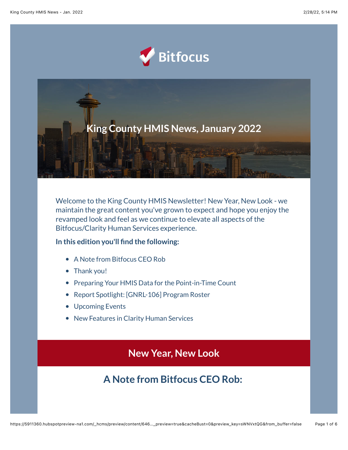



Welcome to the King County HMIS Newsletter! New Year, New Look - we maintain the great content you've grown to expect and hope you enjoy the revamped look and feel as we continue to elevate all aspects of the Bitfocus/Clarity Human Services experience.

#### **In this edition you'll find the following:**

- A Note from Bitfocus CEO Rob
- Thank you!
- Preparing Your HMIS Data for the Point-in-Time Count
- Report Spotlight: [GNRL-106] Program Roster
- Upcoming Events
- New Features in Clarity Human Services

### **New Year, New Look**

## **A Note from Bitfocus CEO Rob:**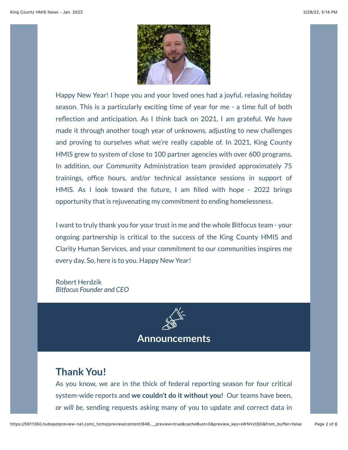

Happy New Year! I hope you and your loved ones had a joyful, relaxing holiday season. This is a particularly exciting time of year for me - a time full of both reflection and anticipation. As I think back on 2021, I am grateful. We have made it through another tough year of unknowns, adjusting to new challenges and proving to ourselves what we're really capable of. In 2021, King County HMIS grew to system of close to 100 partner agencies with over 600 programs. In addition, our Community Administration team provided approximately 75 trainings, office hours, and/or technical assistance sessions in support of HMIS. As I look toward the future, I am filled with hope - 2022 brings opportunity that is rejuvenating my commitment to ending homelessness.

I want to truly thank you for your trust in me and the whole Bitfocus team - your ongoing partnership is critical to the success of the King County HMIS and Clarity Human Services, and your commitment to our communities inspires me every day. So, here is to you. Happy New Year!

Robert Herdzik *Bitfocus Founder and CEO*



# **Announcements**

## **Thank You!**

As you know, we are in the thick of federal reporting season for four critical system-wide reports and **we couldn't do it without you!** Our teams have been, *or will be*, sending requests asking many of you to update and correct data in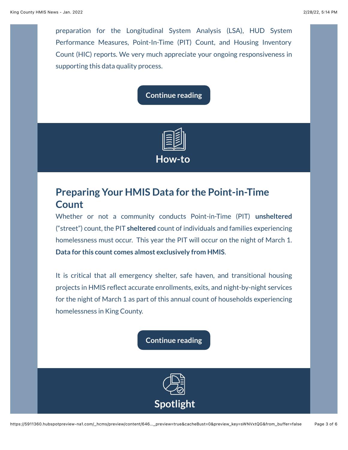preparation for the Longitudinal System Analysis (LSA), HUD System Performance Measures, Point-In-Time (PIT) Count, and Housing Inventory Count (HIC) reports. We very much appreciate your ongoing responsiveness in supporting this data quality process.

**[Continue reading](https://www.bitfocus.com/hubfs/Thank%20You!-2.pdf?utm_source=hs_email&utm_medium=email&_hsenc=p2ANqtz-_t6cCVBiUPr5p_bDc5CrJvPNm1uJeKJlzL2VyPSOzvEM9usv97J5r46mMp3BVMSYI33FRn)**



# **Preparing Your HMIS Data for the Point-in-Time Count**

Whether or not a community conducts Point-in-Time (PIT) **unsheltered** ("street") count, the PIT **sheltered** count of individuals and families experiencing homelessness must occur. This year the PIT will occur on the night of March 1. **Data for this count comes almost exclusively from HMIS**.

It is critical that all emergency shelter, safe haven, and transitional housing projects in HMIS reflect accurate enrollments, exits, and night-by-night services for the night of March 1 as part of this annual count of households experiencing homelessness in King County.

### **[Continue reading](https://www.bitfocus.com/hubfs/Preparing%20Your%20HMIS%20Data%20for%20the%20Point-in-Time%20Count%20-%20King-1.pdf?utm_source=hs_email&utm_medium=email&_hsenc=p2ANqtz-_t6cCVBiUPr5p_bDc5CrJvPNm1uJeKJlzL2VyPSOzvEM9usv97J5r46mMp3BVMSYI33FRn)**

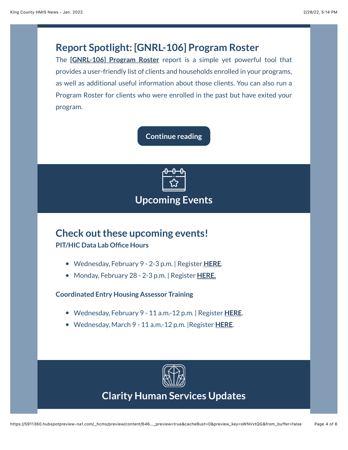## **Report Spotlight: [GNRL-106] Program Roster**

The **[\[GNRL-106\] Program Roster](https://help.bitfocus.com/gnrl-106-program-roster?utm_source=hs_email&utm_medium=email&_hsenc=p2ANqtz-_t6cCVBiUPr5p_bDc5CrJvPNm1uJeKJlzL2VyPSOzvEM9usv97J5r46mMp3BVMSYI33FRn)** report is a simple yet powerful tool that provides a user-friendly list of clients and households enrolled in your programs, as well as additional useful information about those clients. You can also run a Program Roster for clients who were enrolled in the past but have exited your program.

### **[Continue reading](https://www.bitfocus.com/hubfs/Report%20Spotlight_%20%5BGNRL-106%5D%20Program%20Roster%20-%20King-2.pdf?utm_source=hs_email&utm_medium=email&_hsenc=p2ANqtz-_t6cCVBiUPr5p_bDc5CrJvPNm1uJeKJlzL2VyPSOzvEM9usv97J5r46mMp3BVMSYI33FRn)**



### **Upcoming Events**

# **Check out these upcoming events!**

#### **PIT/HIC Data Lab Office Hours**

- Wednesday, February 9 2-3 p.m. | Register **[HERE](https://bitfocus.zoom.us/meeting/register/tJcod-CvrTksEtJ4AzAXB0yPImyuBsmk2QUW?utm_source=hs_email&utm_medium=email&_hsenc=p2ANqtz-_t6cCVBiUPr5p_bDc5CrJvPNm1uJeKJlzL2VyPSOzvEM9usv97J5r46mMp3BVMSYI33FRn)**.
- Monday, February 28 2-3 p.m. | Register **[HERE.](https://bitfocus.zoom.us/meeting/register/tJElfuqppjMqEt3sJQnhFf-3xOXq9hNH0mGF?utm_source=hs_email&utm_medium=email&_hsenc=p2ANqtz-_t6cCVBiUPr5p_bDc5CrJvPNm1uJeKJlzL2VyPSOzvEM9usv97J5r46mMp3BVMSYI33FRn)**

#### **Coordinated Entry Housing Assessor Training**

- Wednesday, February 9 11 a.m.-12 p.m. | Register **[HERE](https://updates.bitfocus.com/e3t/Btc/LX+113/cJycF04/VVqBnz47Td1DW32_QNV5v_RjTW6hm-BV4DMcn6MBB8TD3lLBGV1-WJV7CgX8VN5zL9MG45hZBW6sjzbH3-SmYVW77wqM-916CWsN358bwVQcQ6HM_-KH4SZpNgW9hrdcq7Stqn6W3SCBpZ6FgG7nW1NRP5699f8HBW7DH4948bpCcbW2TKYBG8TBfQCW3dLRyH5qh_b8V5-Xwf42xbkmW8xYWLJ5t1w0sW6ws9y86_QbMPW1XBXkv8jgN1fW33d-MB4hqLwDW13ms3R9lkCpFMt-7vqvkZNdW3jplvJ2qnKJWW6gGqHw7s197lW4w1vJC4-zNfDVTrLRT7lQZQtN6wBZrfrXbLrW15rFMN8h8JgS3jpy1?utm_source=hs_email&utm_medium=email&_hsenc=p2ANqtz-_t6cCVBiUPr5p_bDc5CrJvPNm1uJeKJlzL2VyPSOzvEM9usv97J5r46mMp3BVMSYI33FRn)**.
- Wednesday, March 9 11 a.m.-12 p.m. |Register **[HERE](https://bitfocus.zoom.us/meeting/register/tJApf-6vqT0qHNy5MG5y1qNsPAMosXnROxEd?utm_source=hs_email&utm_medium=email&_hsenc=p2ANqtz-_t6cCVBiUPr5p_bDc5CrJvPNm1uJeKJlzL2VyPSOzvEM9usv97J5r46mMp3BVMSYI33FRn)**.



### **Clarity Human Services Updates**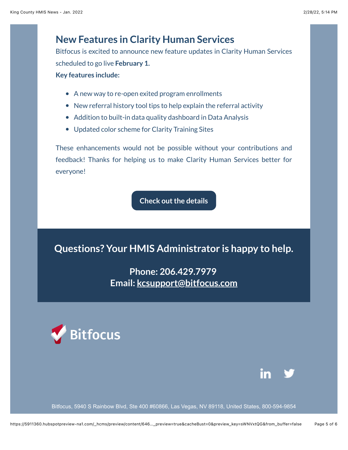### **New Features in Clarity Human Services**

Bitfocus is excited to announce new feature updates in Clarity Human Services scheduled to go live **February 1.**

**Key features include:** 

- A new way to re-open exited program enrollments
- New referral history tool tips to help explain the referral activity
- Addition to built-in data quality dashboard in Data Analysis
- Updated color scheme for Clarity Training Sites

These enhancements would not be possible without your contributions and feedback! Thanks for helping us to make Clarity Human Services better for everyone!

**[Check out the details](https://www.bitfocus.com/hubfs/New%20Features%20in%20Clarity%20Human%20Services%20-%20King-1.pdf?utm_source=hs_email&utm_medium=email&_hsenc=p2ANqtz-_t6cCVBiUPr5p_bDc5CrJvPNm1uJeKJlzL2VyPSOzvEM9usv97J5r46mMp3BVMSYI33FRn)**

**Questions? Your HMIS Administrator is happy to help.**

**Phone: 206.429.7979 Email: [kcsupport@bitfocus.com](mailto:kcsupport@bitfocus.com)**





Bitfocus, 5940 S Rainbow Blvd, Ste 400 #60866, Las Vegas, NV 89118, United States, 800-594-9854